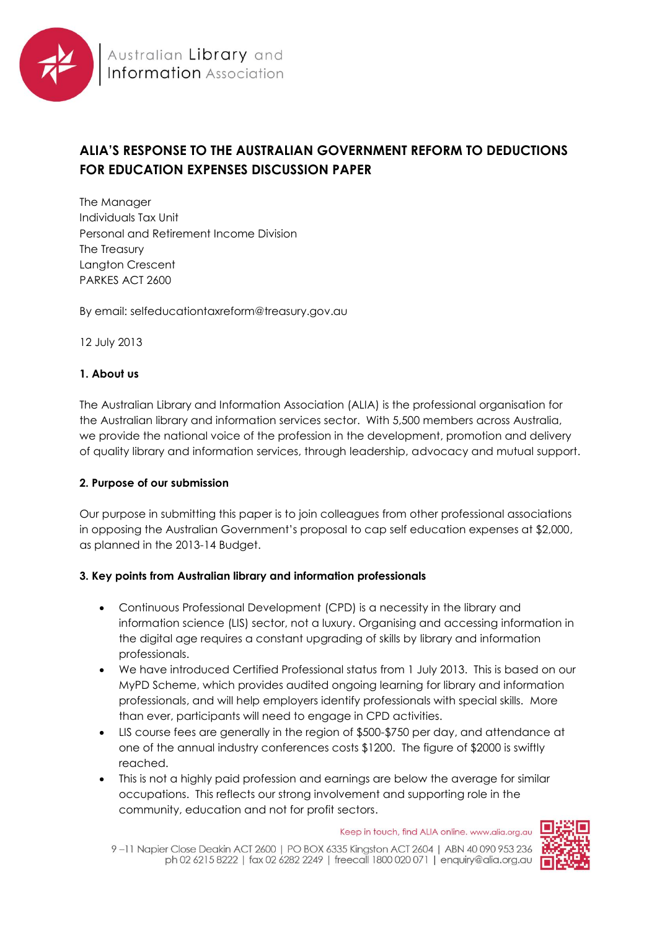

# **ALIA'S RESPONSE TO THE AUSTRALIAN GOVERNMENT REFORM TO DEDUCTIONS FOR EDUCATION EXPENSES DISCUSSION PAPER**

The Manager Individuals Tax Unit Personal and Retirement Income Division The Treasury Langton Crescent PARKES ACT 2600

By email: selfeducationtaxreform@treasury.gov.au

12 July 2013

### **1. About us**

The Australian Library and Information Association (ALIA) is the professional organisation for the Australian library and information services sector. With 5,500 members across Australia, we provide the national voice of the profession in the development, promotion and delivery of quality library and information services, through leadership, advocacy and mutual support.

## **2. Purpose of our submission**

Our purpose in submitting this paper is to join colleagues from other professional associations in opposing the Australian Government's proposal to cap self education expenses at \$2,000, as planned in the 2013-14 Budget.

## **3. Key points from Australian library and information professionals**

- Continuous Professional Development (CPD) is a necessity in the library and information science (LIS) sector, not a luxury. Organising and accessing information in the digital age requires a constant upgrading of skills by library and information professionals.
- We have introduced Certified Professional status from 1 July 2013. This is based on our MyPD Scheme, which provides audited ongoing learning for library and information professionals, and will help employers identify professionals with special skills. More than ever, participants will need to engage in CPD activities.
- LIS course fees are generally in the region of \$500-\$750 per day, and attendance at one of the annual industry conferences costs \$1200. The figure of \$2000 is swiftly reached.
- This is not a highly paid profession and earnings are below the average for similar occupations. This reflects our strong involvement and supporting role in the community, education and not for profit sectors.

Keep in touch, find ALIA online. www.alia.org.au

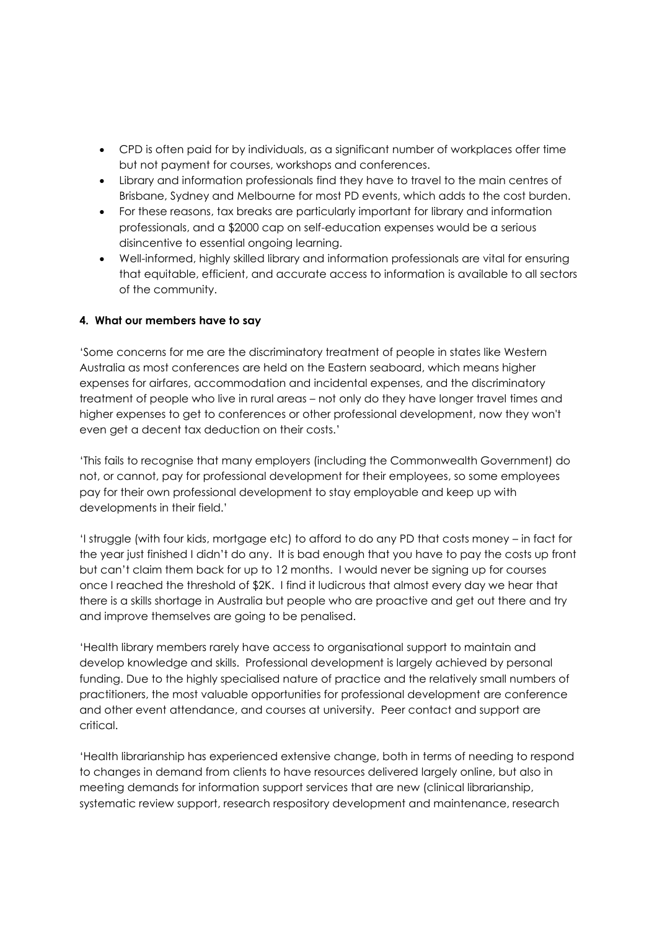- CPD is often paid for by individuals, as a significant number of workplaces offer time but not payment for courses, workshops and conferences.
- Library and information professionals find they have to travel to the main centres of Brisbane, Sydney and Melbourne for most PD events, which adds to the cost burden.
- For these reasons, tax breaks are particularly important for library and information professionals, and a \$2000 cap on self-education expenses would be a serious disincentive to essential ongoing learning.
- Well-informed, highly skilled library and information professionals are vital for ensuring that equitable, efficient, and accurate access to information is available to all sectors of the community.

#### **4. What our members have to say**

'Some concerns for me are the discriminatory treatment of people in states like Western Australia as most conferences are held on the Eastern seaboard, which means higher expenses for airfares, accommodation and incidental expenses, and the discriminatory treatment of people who live in rural areas – not only do they have longer travel times and higher expenses to get to conferences or other professional development, now they won't even get a decent tax deduction on their costs.'

'This fails to recognise that many employers (including the Commonwealth Government) do not, or cannot, pay for professional development for their employees, so some employees pay for their own professional development to stay employable and keep up with developments in their field.'

'I struggle (with four kids, mortgage etc) to afford to do any PD that costs money – in fact for the year just finished I didn't do any. It is bad enough that you have to pay the costs up front but can't claim them back for up to 12 months. I would never be signing up for courses once I reached the threshold of \$2K. I find it ludicrous that almost every day we hear that there is a skills shortage in Australia but people who are proactive and get out there and try and improve themselves are going to be penalised.

'Health library members rarely have access to organisational support to maintain and develop knowledge and skills. Professional development is largely achieved by personal funding. Due to the highly specialised nature of practice and the relatively small numbers of practitioners, the most valuable opportunities for professional development are conference and other event attendance, and courses at university. Peer contact and support are critical.

'Health librarianship has experienced extensive change, both in terms of needing to respond to changes in demand from clients to have resources delivered largely online, but also in meeting demands for information support services that are new (clinical librarianship, systematic review support, research respository development and maintenance, research